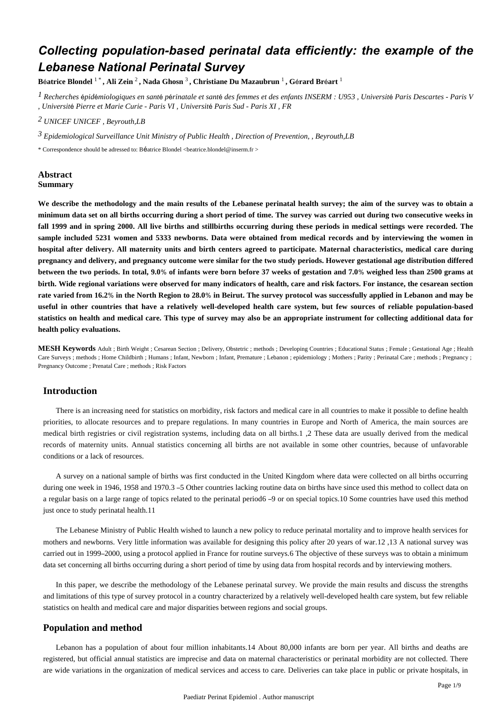# *Collecting population-based perinatal data efficiently: the example of the Lebanese National Perinatal Survey*

**B**é**atrice Blondel** 1 \* **, Ali Zein** <sup>2</sup> **, Nada Ghosn** <sup>3</sup> **, Christiane Du Mazaubrun** <sup>1</sup> **, G**é**rard Br**é**art** <sup>1</sup>

<sup>1</sup> Recherches épidémiologiques en santé périnatale et santé des femmes et des enfants INSERM : U953, Université Paris Descartes - Paris V *, Universit*é *Pierre et Marie Curie - Paris VI , Universit*é *Paris Sud - Paris XI , FR*

*UNICEF 2 UNICEF , Beyrouth,LB*

<sup>3</sup> Epidemiological Surveillance Unit Ministry of Public Health , Direction of Prevention, , Beyrouth,LB

\* Correspondence should be adressed to: Béatrice Blondel <beatrice.blondel@inserm.fr >

#### **Abstract Summary**

**We describe the methodology and the main results of the Lebanese perinatal health survey; the aim of the survey was to obtain a minimum data set on all births occurring during a short period of time. The survey was carried out during two consecutive weeks in fall 1999 and in spring 2000. All live births and stillbirths occurring during these periods in medical settings were recorded. The sample included 5231 women and 5333 newborns. Data were obtained from medical records and by interviewing the women in hospital after delivery. All maternity units and birth centers agreed to participate. Maternal characteristics, medical care during pregnancy and delivery, and pregnancy outcome were similar for the two study periods. However gestational age distribution differed between the two periods. In total, 9.0**% **of infants were born before 37 weeks of gestation and 7.0**% **weighed less than 2500 grams at birth. Wide regional variations were observed for many indicators of health, care and risk factors. For instance, the cesarean section rate varied from 16.2**% **in the North Region to 28.0**% **in Beirut. The survey protocol was successfully applied in Lebanon and may be useful in other countries that have a relatively well-developed health care system, but few sources of reliable population-based statistics on health and medical care. This type of survey may also be an appropriate instrument for collecting additional data for health policy evaluations.**

**MESH Keywords** Adult ; Birth Weight ; Cesarean Section ; Delivery, Obstetric ; methods ; Developing Countries ; Educational Status ; Female ; Gestational Age ; Health Care Surveys ; methods ; Home Childbirth ; Humans ; Infant, Newborn ; Infant, Premature ; Lebanon ; epidemiology ; Mothers ; Parity ; Perinatal Care ; methods ; Pregnancy ; Pregnancy Outcome ; Prenatal Care ; methods ; Risk Factors

## **Introduction**

There is an increasing need for statistics on morbidity, risk factors and medical care in all countries to make it possible to define health priorities, to allocate resources and to prepare regulations. In many countries in Europe and North of America, the main sources are medical birth registries or civil registration systems, including data on all births.1 ,2 These data are usually derived from the medical records of maternity units. Annual statistics concerning all births are not available in some other countries, because of unfavorable conditions or a lack of resources.

A survey on a national sample of births was first conducted in the United Kingdom where data were collected on all births occurring during one week in 1946, 1958 and 1970.3 – 5 Other countries lacking routine data on births have since used this method to collect data on a regular basis on a large range of topics related to the perinatal period6 –9 or on special topics.10 Some countries have used this method just once to study perinatal health.11

The Lebanese Ministry of Public Health wished to launch a new policy to reduce perinatal mortality and to improve health services for mothers and newborns. Very little information was available for designing this policy after 20 years of war.12 ,13 A national survey was carried out in 1999–2000, using a protocol applied in France for routine surveys.6 The objective of these surveys was to obtain a minimum data set concerning all births occurring during a short period of time by using data from hospital records and by interviewing mothers.

In this paper, we describe the methodology of the Lebanese perinatal survey. We provide the main results and discuss the strengths and limitations of this type of survey protocol in a country characterized by a relatively well-developed health care system, but few reliable statistics on health and medical care and major disparities between regions and social groups.

## **Population and method**

Lebanon has a population of about four million inhabitants.14 About 80,000 infants are born per year. All births and deaths are registered, but official annual statistics are imprecise and data on maternal characteristics or perinatal morbidity are not collected. There are wide variations in the organization of medical services and access to care. Deliveries can take place in public or private hospitals, in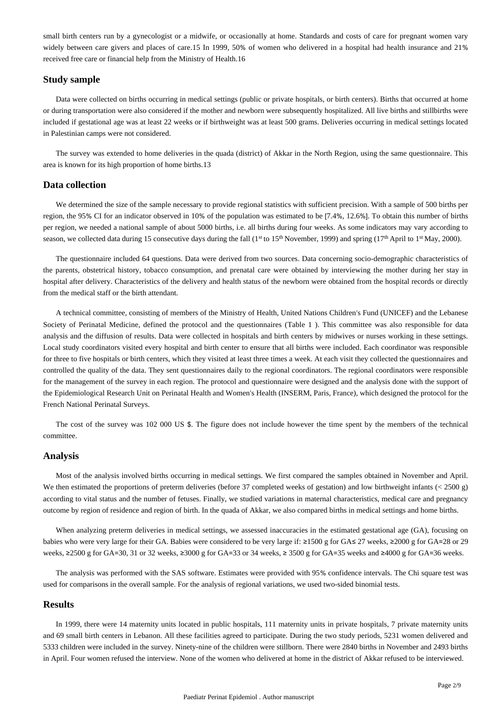small birth centers run by a gynecologist or a midwife, or occasionally at home. Standards and costs of care for pregnant women vary widely between care givers and places of care.15 In 1999, 50% of women who delivered in a hospital had health insurance and 21% received free care or financial help from the Ministry of Health.16

# **Study sample**

Data were collected on births occurring in medical settings (public or private hospitals, or birth centers). Births that occurred at home or during transportation were also considered if the mother and newborn were subsequently hospitalized. All live births and stillbirths were included if gestational age was at least 22 weeks or if birthweight was at least 500 grams. Deliveries occurring in medical settings located in Palestinian camps were not considered.

The survey was extended to home deliveries in the quada (district) of Akkar in the North Region, using the same questionnaire. This area is known for its high proportion of home births.13

## **Data collection**

We determined the size of the sample necessary to provide regional statistics with sufficient precision. With a sample of 500 births per region, the 95% CI for an indicator observed in 10% of the population was estimated to be [7.4%, 12.6%]. To obtain this number of births per region, we needed a national sample of about 5000 births, i.e. all births during four weeks. As some indicators may vary according to season, we collected data during 15 consecutive days during the fall  $(1<sup>st</sup> to 15<sup>th</sup> November, 1999)$  and spring  $(17<sup>th</sup> April to 1<sup>st</sup> May, 2000)$ .

The questionnaire included 64 questions. Data were derived from two sources. Data concerning socio-demographic characteristics of the parents, obstetrical history, tobacco consumption, and prenatal care were obtained by interviewing the mother during her stay in hospital after delivery. Characteristics of the delivery and health status of the newborn were obtained from the hospital records or directly from the medical staff or the birth attendant.

A technical committee, consisting of members of the Ministry of Health, United Nations Children's Fund (UNICEF) and the Lebanese Society of Perinatal Medicine, defined the protocol and the questionnaires (Table 1 ). This committee was also responsible for data analysis and the diffusion of results. Data were collected in hospitals and birth centers by midwives or nurses working in these settings. Local study coordinators visited every hospital and birth center to ensure that all births were included. Each coordinator was responsible for three to five hospitals or birth centers, which they visited at least three times a week. At each visit they collected the questionnaires and controlled the quality of the data. They sent questionnaires daily to the regional coordinators. The regional coordinators were responsible for the management of the survey in each region. The protocol and questionnaire were designed and the analysis done with the support of the Epidemiological Research Unit on Perinatal Health and Women's Health (INSERM, Paris, France), which designed the protocol for the French National Perinatal Surveys.

The cost of the survey was 102 000 US \$. The figure does not include however the time spent by the members of the technical committee.

## **Analysis**

Most of the analysis involved births occurring in medical settings. We first compared the samples obtained in November and April. We then estimated the proportions of preterm deliveries (before 37 completed weeks of gestation) and low birthweight infants (< 2500 g) according to vital status and the number of fetuses. Finally, we studied variations in maternal characteristics, medical care and pregnancy outcome by region of residence and region of birth. In the quada of Akkar, we also compared births in medical settings and home births.

When analyzing preterm deliveries in medical settings, we assessed inaccuracies in the estimated gestational age (GA), focusing on babies who were very large for their GA. Babies were considered to be very large if: ≥1500 g for GA≤ 27 weeks, ≥2000 g for GA=28 or 29 weeks, ≥2500 g for GA=30, 31 or 32 weeks, ≥3000 g for GA=33 or 34 weeks, ≥ 3500 g for GA=35 weeks and ≥4000 g for GA=36 weeks.

The analysis was performed with the SAS software. Estimates were provided with 95% confidence intervals. The Chi square test was used for comparisons in the overall sample. For the analysis of regional variations, we used two-sided binomial tests.

## **Results**

In 1999, there were 14 maternity units located in public hospitals, 111 maternity units in private hospitals, 7 private maternity units and 69 small birth centers in Lebanon. All these facilities agreed to participate. During the two study periods, 5231 women delivered and 5333 children were included in the survey. Ninety-nine of the children were stillborn. There were 2840 births in November and 2493 births in April. Four women refused the interview. None of the women who delivered at home in the district of Akkar refused to be interviewed.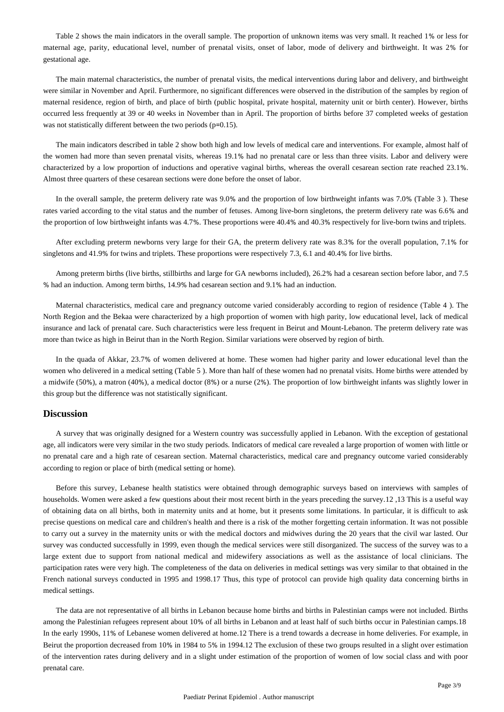Table 2 shows the main indicators in the overall sample. The proportion of unknown items was very small. It reached 1% or less for maternal age, parity, educational level, number of prenatal visits, onset of labor, mode of delivery and birthweight. It was 2% for gestational age.

The main maternal characteristics, the number of prenatal visits, the medical interventions during labor and delivery, and birthweight were similar in November and April. Furthermore, no significant differences were observed in the distribution of the samples by region of maternal residence, region of birth, and place of birth (public hospital, private hospital, maternity unit or birth center). However, births occurred less frequently at 39 or 40 weeks in November than in April. The proportion of births before 37 completed weeks of gestation was not statistically different between the two periods (p=0.15).

The main indicators described in table 2 show both high and low levels of medical care and interventions. For example, almost half of the women had more than seven prenatal visits, whereas 19.1% had no prenatal care or less than three visits. Labor and delivery were characterized by a low proportion of inductions and operative vaginal births, whereas the overall cesarean section rate reached 23.1%. Almost three quarters of these cesarean sections were done before the onset of labor.

In the overall sample, the preterm delivery rate was 9.0% and the proportion of low birthweight infants was 7.0% (Table 3 ). These rates varied according to the vital status and the number of fetuses. Among live-born singletons, the preterm delivery rate was 6.6% and the proportion of low birthweight infants was 4.7%. These proportions were 40.4% and 40.3% respectively for live-born twins and triplets.

After excluding preterm newborns very large for their GA, the preterm delivery rate was 8.3% for the overall population, 7.1% for singletons and 41.9% for twins and triplets. These proportions were respectively 7.3, 6.1 and 40.4% for live births.

Among preterm births (live births, stillbirths and large for GA newborns included), 26.2% had a cesarean section before labor, and 7.5 % had an induction. Among term births, 14.9% had cesarean section and 9.1% had an induction.

Maternal characteristics, medical care and pregnancy outcome varied considerably according to region of residence (Table 4 ). The North Region and the Bekaa were characterized by a high proportion of women with high parity, low educational level, lack of medical insurance and lack of prenatal care. Such characteristics were less frequent in Beirut and Mount-Lebanon. The preterm delivery rate was more than twice as high in Beirut than in the North Region. Similar variations were observed by region of birth.

In the quada of Akkar, 23.7% of women delivered at home. These women had higher parity and lower educational level than the women who delivered in a medical setting (Table 5 ). More than half of these women had no prenatal visits. Home births were attended by a midwife (50%), a matron (40%), a medical doctor (8%) or a nurse (2%). The proportion of low birthweight infants was slightly lower in this group but the difference was not statistically significant.

#### **Discussion**

A survey that was originally designed for a Western country was successfully applied in Lebanon. With the exception of gestational age, all indicators were very similar in the two study periods. Indicators of medical care revealed a large proportion of women with little or no prenatal care and a high rate of cesarean section. Maternal characteristics, medical care and pregnancy outcome varied considerably according to region or place of birth (medical setting or home).

Before this survey, Lebanese health statistics were obtained through demographic surveys based on interviews with samples of households. Women were asked a few questions about their most recent birth in the years preceding the survey.12 ,13 This is a useful way of obtaining data on all births, both in maternity units and at home, but it presents some limitations. In particular, it is difficult to ask precise questions on medical care and children's health and there is a risk of the mother forgetting certain information. It was not possible to carry out a survey in the maternity units or with the medical doctors and midwives during the 20 years that the civil war lasted. Our survey was conducted successfully in 1999, even though the medical services were still disorganized. The success of the survey was to a large extent due to support from national medical and midewifery associations as well as the assistance of local clinicians. The participation rates were very high. The completeness of the data on deliveries in medical settings was very similar to that obtained in the French national surveys conducted in 1995 and 1998.17 Thus, this type of protocol can provide high quality data concerning births in medical settings.

The data are not representative of all births in Lebanon because home births and births in Palestinian camps were not included. Births among the Palestinian refugees represent about 10% of all births in Lebanon and at least half of such births occur in Palestinian camps.18 In the early 1990s, 11% of Lebanese women delivered at home.12 There is a trend towards a decrease in home deliveries. For example, in Beirut the proportion decreased from 10% in 1984 to 5% in 1994.12 The exclusion of these two groups resulted in a slight over estimation of the intervention rates during delivery and in a slight under estimation of the proportion of women of low social class and with poor prenatal care.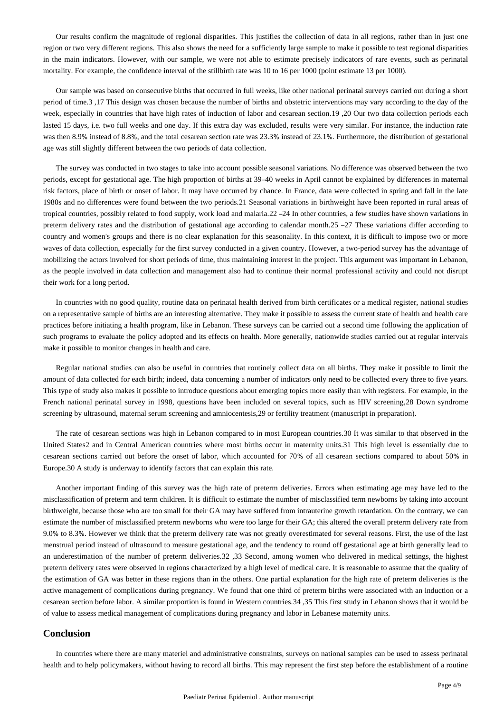Our results confirm the magnitude of regional disparities. This justifies the collection of data in all regions, rather than in just one region or two very different regions. This also shows the need for a sufficiently large sample to make it possible to test regional disparities in the main indicators. However, with our sample, we were not able to estimate precisely indicators of rare events, such as perinatal mortality. For example, the confidence interval of the stillbirth rate was 10 to 16 per 1000 (point estimate 13 per 1000).

Our sample was based on consecutive births that occurred in full weeks, like other national perinatal surveys carried out during a short period of time.3 ,17 This design was chosen because the number of births and obstetric interventions may vary according to the day of the week, especially in countries that have high rates of induction of labor and cesarean section.19, 20 Our two data collection periods each lasted 15 days, i.e. two full weeks and one day. If this extra day was excluded, results were very similar. For instance, the induction rate was then 8.9% instead of 8.8%, and the total cesarean section rate was 23.3% instead of 23.1%. Furthermore, the distribution of gestational age was still slightly different between the two periods of data collection.

The survey was conducted in two stages to take into account possible seasonal variations. No difference was observed between the two periods, except for gestational age. The high proportion of births at 39–40 weeks in April cannot be explained by differences in maternal risk factors, place of birth or onset of labor. It may have occurred by chance. In France, data were collected in spring and fall in the late 1980s and no differences were found between the two periods.21 Seasonal variations in birthweight have been reported in rural areas of tropical countries, possibly related to food supply, work load and malaria.22 –24 In other countries, a few studies have shown variations in preterm delivery rates and the distribution of gestational age according to calendar month.25 –27 These variations differ according to country and women's groups and there is no clear explanation for this seasonality. In this context, it is difficult to impose two or more waves of data collection, especially for the first survey conducted in a given country. However, a two-period survey has the advantage of mobilizing the actors involved for short periods of time, thus maintaining interest in the project. This argument was important in Lebanon, as the people involved in data collection and management also had to continue their normal professional activity and could not disrupt their work for a long period.

In countries with no good quality, routine data on perinatal health derived from birth certificates or a medical register, national studies on a representative sample of births are an interesting alternative. They make it possible to assess the current state of health and health care practices before initiating a health program, like in Lebanon. These surveys can be carried out a second time following the application of such programs to evaluate the policy adopted and its effects on health. More generally, nationwide studies carried out at regular intervals make it possible to monitor changes in health and care.

Regular national studies can also be useful in countries that routinely collect data on all births. They make it possible to limit the amount of data collected for each birth; indeed, data concerning a number of indicators only need to be collected every three to five years. This type of study also makes it possible to introduce questions about emerging topics more easily than with registers. For example, in the French national perinatal survey in 1998, questions have been included on several topics, such as HIV screening,28 Down syndrome screening by ultrasound, maternal serum screening and amniocentesis,29 or fertility treatment (manuscript in preparation).

The rate of cesarean sections was high in Lebanon compared to in most European countries.30 It was similar to that observed in the United States2 and in Central American countries where most births occur in maternity units.31 This high level is essentially due to cesarean sections carried out before the onset of labor, which accounted for 70% of all cesarean sections compared to about 50% in Europe.30 A study is underway to identify factors that can explain this rate.

Another important finding of this survey was the high rate of preterm deliveries. Errors when estimating age may have led to the misclassification of preterm and term children. It is difficult to estimate the number of misclassified term newborns by taking into account birthweight, because those who are too small for their GA may have suffered from intrauterine growth retardation. On the contrary, we can estimate the number of misclassified preterm newborns who were too large for their GA; this altered the overall preterm delivery rate from 9.0% to 8.3%. However we think that the preterm delivery rate was not greatly overestimated for several reasons. First, the use of the last menstrual period instead of ultrasound to measure gestational age, and the tendency to round off gestational age at birth generally lead to an underestimation of the number of preterm deliveries.32 ,33 Second, among women who delivered in medical settings, the highest preterm delivery rates were observed in regions characterized by a high level of medical care. It is reasonable to assume that the quality of the estimation of GA was better in these regions than in the others. One partial explanation for the high rate of preterm deliveries is the active management of complications during pregnancy. We found that one third of preterm births were associated with an induction or a cesarean section before labor. A similar proportion is found in Western countries.34 ,35 This first study in Lebanon shows that it would be of value to assess medical management of complications during pregnancy and labor in Lebanese maternity units.

### **Conclusion**

In countries where there are many materiel and administrative constraints, surveys on national samples can be used to assess perinatal health and to help policymakers, without having to record all births. This may represent the first step before the establishment of a routine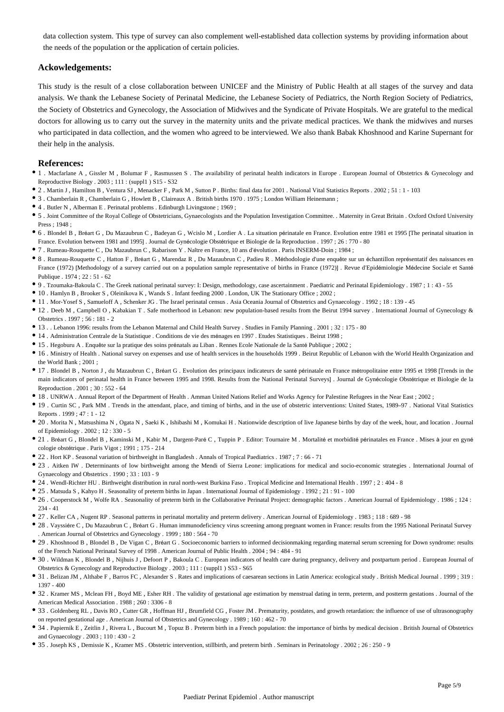data collection system. This type of survey can also complement well-established data collection systems by providing information about the needs of the population or the application of certain policies.

# **Ackowledgements:**

This study is the result of a close collaboration between UNICEF and the Ministry of Public Health at all stages of the survey and data analysis. We thank the Lebanese Society of Perinatal Medicine, the Lebanese Society of Pediatrics, the North Region Society of Pediatrics, the Society of Obstetrics and Gynecology, the Association of Midwives and the Syndicate of Private Hospitals. We are grateful to the medical doctors for allowing us to carry out the survey in the maternity units and the private medical practices. We thank the midwives and nurses who participated in data collection, and the women who agreed to be interviewed. We also thank Babak Khoshnood and Karine Supernant for their help in the analysis.

#### **References:**

- 1 . Macfarlane A , Gissler M , Bolumar F , Rasmussen S . The availability of perinatal health indicators in Europe . European Journal of Obstetrics & Gynecology and Reproductive Biology . 2003 ; 111 : (suppl1 ) S15 - S32
- 2 . Martin J , Hamilton B , Ventura SJ , Menacker F , Park M , Sutton P . Births: final data for 2001 . National Vital Statistics Reports . 2002 ; 51 : 1 103
- 3 . Chamberlain R , Chamberlain G , Howlett B , Claireaux A . British births 1970 . 1975 ; London William Heinemann ;
- 4 . Butler N , Alberman E . Perinatal problems . Edinburgh Livingstone ; 1969 ;
- 5 . Joint Committee of the Royal College of Obstetricians, Gynaecologists and the Population Investigation Committee. . Maternity in Great Britain . Oxford Oxford University  $Press \cdot 1948 \cdot$
- 6 . Blondel B , Bréart G , Du Mazaubrun C , Badeyan G , Wcislo M , Lordier A . La situation périnatale en France. Evolution entre 1981 et 1995 [The perinatal situation in France. Evolution between 1981 and 1995] . Journal de Gynécologie Obstétrique et Biologie de la Reproduction . 1997 ; 26 : 770 - 80
- 7 . Rumeau-Rouquette C , Du Mazaubrun C , Rabarison Y . Naître en France, 10 ans d'évolution . Paris INSERM-Doin ; 1984 ;
- 8 . Rumeau-Rouquette C , Hatton F , Bréart G , Marendaz R , Du Mazaubrun C , Padieu R . Méthodologie d'une enquête sur un échantillon représentatif des naissances en France (1972) [Methodology of a survey carried out on a population sample representative of births in France (1972)] . Revue d'Epidémiologie Médecine Sociale et Santé Publique  $1974 \cdot 22 \cdot 51 - 62$
- 9 . Tzoumaka-Bakoula C . The Greek national perinatal survey: I: Design, methodology, case ascertainment . Paediatric and Perinatal Epidemiology . 1987 ; 1 : 43 55
- 10 . Hamlyn B , Brooker S , Oleinikova K , Wands S . Infant feeding 2000 . London, UK The Stationary Office ; 2002 ;
- 11 . Mor-Yosef S , Samueloff A , Schenker JG . The Israel perinatal census . Asia Oceania Journal of Obstetrics and Gynaecology . 1992 ; 18 : 139 45
- 12 . Deeb M , Campbell O , Kabakian T . Safe motherhood in Lebanon: new population-based results from the Beirut 1994 survey . International Journal of Gynecology & Obstetrics . 1997 ; 56 : 181 - 2
- 13 . . Lebanon 1996: results from the Lebanon Maternal and Child Health Survey . Studies in Family Planning . 2001 ; 32 : 175 80
- 14 . Administration Centrale de la Statistique . Conditions de vie des ménages en 1997 . Etudes Statistiques . Beirut 1998 ;
- 15 . Hegoburu A . Enquête sur la pratique des soins prénatals au Liban . Rennes Ecole Nationale de la Santé Publique ; 2002 ;
- 16 . Ministry of Health . National survey on expenses and use of health services in the households 1999 . Beirut Republic of Lebanon with the World Health Organization and the World Bank ; 2001 ;
- 17 . Blondel B , Norton J , du Mazaubrun C , Bréart G . Evolution des principaux indicateurs de santé périnatale en France métropolitaine entre 1995 et 1998 [Trends in the main indicators of perinatal health in France between 1995 and 1998. Results from the National Perinatal Surveys] . Journal de Gynécologie Obstétrique et Biologie de la Reproduction . 2001 ; 30 : 552 - 64
- 18 . UNRWA . Annual Report of the Department of Health . Amman United Nations Relief and Works Agency for Palestine Refugees in the Near East ; 2002 ;
- 19 . Curtin SC , Park MM . Trends in the attendant, place, and timing of births, and in the use of obstetric interventions: United States, 1989–97 . National Vital Statistics Reports  $1999 \cdot 47 \cdot 1 - 12$
- 20. Morita N, Matsushima N, Ogata N, Saeki K, Ishibashi M, Komukai H. Nationwide description of live Japanese births by day of the week, hour, and location . Journal of Epidemiology . 2002 ; 12 : 330 - 5
- 21 . Bréart G , Blondel B , Kaminski M , Kabir M , Dargent-Paré C , Tuppin P . Editor: Tournaire M . Mortalité et morbidité périnatales en France . Mises à jour en gyné cologie obstétrique . Paris Vigot ; 1991 ; 175 - 214
- <sup>•</sup> 22 . Hort KP . Seasonal variation of birthweight in Bangladesh . Annals of Tropical Paediatrics . 1987 ; 7 : 66 71
- 23 . Aitken IW . Determinants of low birthweight among the Mendi of Sierra Leone: implications for medical and socio-economic strategies . International Journal of Gynaecology and Obstetrics . 1990 ; 33 : 103 - 9
- 24 . Wendl-Richter HU . Birthweight distribution in rural north-west Burkina Faso . Tropical Medicine and International Health . 1997 ; 2 : 404 8
- 25 . Matsuda S , Kahyo H . Seasonality of preterm births in Japan . International Journal of Epidemiology . 1992 ; 21 : 91 100
- 26 . Cooperstock M , Wolfe RA . Seasonality of preterm birth in the Collaborative Perinatal Project: demographic factors . American Journal of Epidemiology . 1986 ; 124 : 234 - 41
- 27 . Keller CA , Nugent RP . Seasonal patterns in perinatal mortality and preterm delivery . American Journal of Epidemiology . 1983 ; 118 : 689 98
- 28 . Vayssiére C , Du Mazaubrun C , Bréart G . Human immunodeficiency virus screening among pregnant women in France: results from the 1995 National Perinatal Survey . American Journal of Obstetrics and Gynecology . 1999 ; 180 : 564 - 70
- 29 . Khoshnood B , Blondel B , De Vigan C , Bréart G . Socioeconomic barriers to informed decisionmaking regarding maternal serum screening for Down syndrome: results of the French National Perinatal Survey of 1998 . American Journal of Public Health . 2004 ; 94 : 484 - 91
- 30 . Wildman K , Blondel B , Nijhuis J , Defoort P , Bakoula C . European indicators of health care during pregnancy, delivery and postpartum period . European Journal of Obstetrics & Gynecology and Reproductive Biology . 2003 ; 111 : (suppl1 ) S53 - S65
- 31 . Belizan JM , Althabe F , Barros FC , Alexander S . Rates and implications of caesarean sections in Latin America: ecological study . British Medical Journal . 1999 ; 319 : 1397 - 400
- 32 . Kramer MS , Mclean FH , Boyd ME , Esher RH . The validity of gestational age estimation by menstrual dating in term, preterm, and postterm gestations . Journal of the American Medical Association . 1988 ; 260 : 3306 - 8
- 33 . Goldenberg RL , Davis RO , Cutter GR , Hoffman HJ , Brumfield CG , Foster JM . Prematurity, postdates, and growth retardation: the influence of use of ultrasonography on reported gestational age . American Journal of Obstetrics and Gynecology . 1989 ; 160 : 462 - 70
- 34 . Papiernik E , Zeitlin J , Rivera L , Bucourt M , Topuz B . Preterm birth in a French population: the importance of births by medical decision . British Journal of Obstetrics and Gynaecology  $.2003 \cdot 110 \cdot 430 = 2$
- 35 . Joseph KS , Demissie K , Kramer MS . Obstetric intervention, stillbirth, and preterm birth . Seminars in Perinatology . 2002 ; 26 : 250 9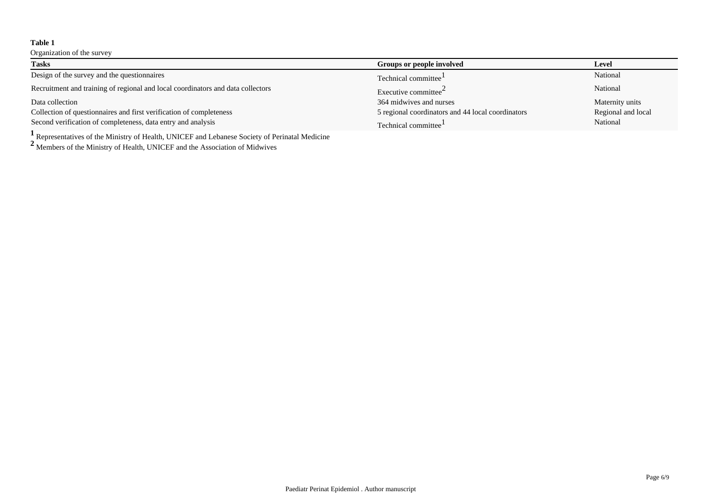Organization of the survey

| <b>Tasks</b>                                                                    | Groups or people involved                          | Level              |
|---------------------------------------------------------------------------------|----------------------------------------------------|--------------------|
| Design of the survey and the questionnaires                                     | Technical committee <sup>1</sup>                   | National           |
| Recruitment and training of regional and local coordinators and data collectors | Executive committee <sup><math>\angle</math></sup> | National           |
| Data collection                                                                 | 364 midwives and nurses                            | Maternity units    |
| Collection of questionnaires and first verification of completeness             | 5 regional coordinators and 44 local coordinators  | Regional and local |
| Second verification of completeness, data entry and analysis                    | Technical committee <sup>1</sup>                   | National           |

**<sup>1</sup>**Representatives of the Ministry of Health, UNICEF and Lebanese Society of Perinatal Medicine

**<sup>2</sup>**Members of the Ministry of Health, UNICEF and the Association of Midwives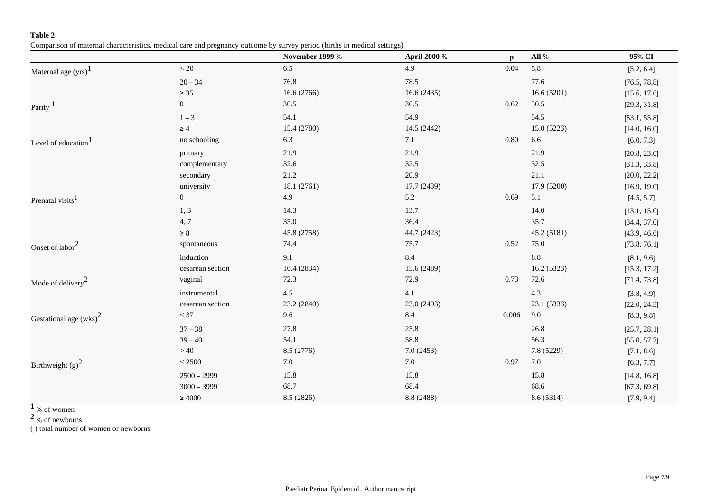Comparison of maternal characteristics, medical care and pregnancy outcome by survey period (births in medical settings)

|                                 |                  | <b>November 1999 %</b> | April 2000 % | $\mathbf{p}$ | All %       | 95% CI       |
|---------------------------------|------------------|------------------------|--------------|--------------|-------------|--------------|
| Maternal age (yrs) <sup>1</sup> | $< 20\,$         | 6.5                    | 4.9          | 0.04         | 5.8         | [5.2, 6.4]   |
|                                 | $20 - 34$        | 76.8                   | 78.5         |              | 77.6        | [76.5, 78.8] |
|                                 | $\geq 35$        | 16.6(2766)             | 16.6(2435)   |              | 16.6(5201)  | [15.6, 17.6] |
| Parity $1$                      | $\boldsymbol{0}$ | 30.5                   | 30.5         | 0.62         | 30.5        | [29.3, 31.8] |
|                                 | $1 - 3$          | 54.1                   | 54.9         |              | 54.5        | [53.1, 55.8] |
|                                 | $\geq 4$         | 15.4 (2780)            | 14.5 (2442)  |              | 15.0(5223)  | [14.0, 16.0] |
| Level of education <sup>1</sup> | no schooling     | 6.3                    | 7.1          | 0.80         | 6.6         | [6.0, 7.3]   |
|                                 | primary          | 21.9                   | 21.9         |              | 21.9        | [20.8, 23.0] |
|                                 | complementary    | 32.6                   | 32.5         |              | 32.5        | [31.3, 33.8] |
|                                 | secondary        | 21.2                   | 20.9         |              | 21.1        | [20.0, 22.2] |
|                                 | university       | 18.1 (2761)            | 17.7 (2439)  |              | 17.9 (5200) | [16.9, 19.0] |
| Prenatal visits <sup>1</sup>    | $\mathbf{0}$     | 4.9                    | 5.2          | 0.69         | 5.1         | [4.5, 5.7]   |
|                                 | 1, 3             | 14.3                   | 13.7         |              | 14.0        | [13.1, 15.0] |
|                                 | 4,7              | 35.0                   | 36.4         |              | 35.7        | [34.4, 37.0] |
|                                 | $\geq 8$         | 45.8 (2758)            | 44.7 (2423)  |              | 45.2 (5181) | [43.9, 46.6] |
| Onset of labor <sup>2</sup>     | spontaneous      | 74.4                   | 75.7         | 0.52         | 75.0        | [73.8, 76.1] |
|                                 | induction        | 9.1                    | 8.4          |              | 8.8         | [8.1, 9.6]   |
|                                 | cesarean section | 16.4 (2834)            | 15.6 (2489)  |              | 16.2 (5323) | [15.3, 17.2] |
| Mode of delivery $2$            | vaginal          | 72.3                   | 72.9         | 0.73         | 72.6        | [71.4, 73.8] |
|                                 | instrumental     | $4.5\,$                | 4.1          |              | 4.3         | [3.8, 4.9]   |
|                                 | cesarean section | 23.2 (2840)            | 23.0 (2493)  |              | 23.1 (5333) | [22.0, 24.3] |
| Gestational age $(wks)^2$       | $< 37$           | 9.6                    | 8.4          | 0.006        | 9.0         | [8.3, 9.8]   |
|                                 | $37 - 38$        | 27.8                   | 25.8         |              | 26.8        | [25.7, 28.1] |
|                                 | $39 - 40$        | 54.1                   | 58.8         |              | 56.3        | [55.0, 57.7] |
|                                 | $>40$            | 8.5 (2776)             | 7.0(2453)    |              | 7.8 (5229)  | [7.1, 8.6]   |
| Birthweight $(g)^2$             | $< 2500\,$       | $7.0\,$                | $7.0\,$      | 0.97         | 7.0         | [6.3, 7.7]   |
|                                 | $2500 - 2999$    | 15.8                   | 15.8         |              | 15.8        | [14.8, 16.8] |
|                                 | $3000 - 3999$    | 68.7                   | 68.4         |              | 68.6        | [67.3, 69.8] |
|                                 | $\geq 4000$      | 8.5 (2826)             | 8.8 (2488)   |              | 8.6 (5314)  | [7.9, 9.4]   |

**<sup>1</sup>**% of women

**<sup>2</sup>**% of newborns

( ) total number of women or newborns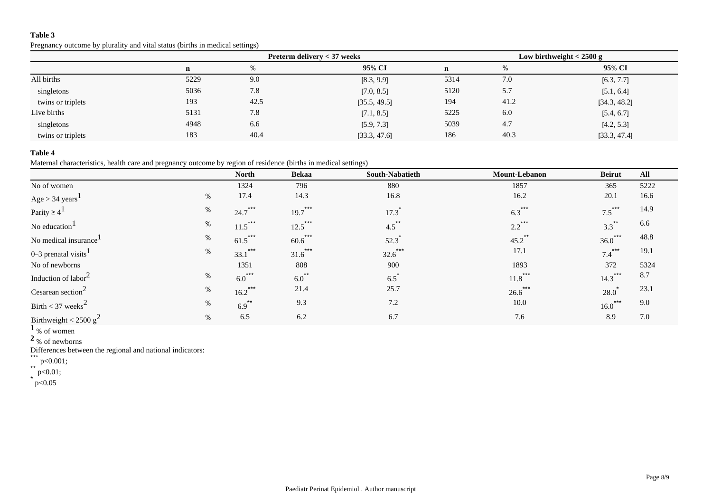Pregnancy outcome by plurality and vital status (births in medical settings)

|                   |             | Preterm delivery < 37 weeks |              |             | Low birthweight $<$ 2500 g |              |  |
|-------------------|-------------|-----------------------------|--------------|-------------|----------------------------|--------------|--|
|                   | $\mathbf n$ | $\%$                        | 95% CI       | $\mathbf n$ | $\%$                       | 95% CI       |  |
| All births        | 5229        | 9.0                         | [8.3, 9.9]   | 5314        | 7.0                        | [6.3, 7.7]   |  |
| singletons        | 5036        | 7.8                         | [7.0, 8.5]   | 5120        | 5.7                        | [5.1, 6.4]   |  |
| twins or triplets | 193         | 42.5                        | [35.5, 49.5] | 194         | 41.2                       | [34.3, 48.2] |  |
| Live births       | 5131        | 7.8                         | [7.1, 8.5]   | 5225        | 6.0                        | [5.4, 6.7]   |  |
| singletons        | 4948        | 6.6                         | [5.9, 7.3]   | 5039        | 4.7                        | [4.2, 5.3]   |  |
| twins or triplets | 183         | 40.4                        | [33.3, 47.6] | 186         | 40.3                       | [33.3, 47.4] |  |

# **Table 4**

Maternal characteristics, health care and pregnancy outcome by region of residence (births in medical settings)

|                                       |      | <b>North</b>         | <b>Bekaa</b> | South-Nabatieth     | Mount-Lebanon          | <b>Beirut</b>                | All  |
|---------------------------------------|------|----------------------|--------------|---------------------|------------------------|------------------------------|------|
| No of women                           |      | 1324                 | 796          | 880                 | 1857                   | 365                          | 5222 |
| $Age > 34 \text{ years}$ <sup>1</sup> | %    | 17.4                 | 14.3         | 16.8                | 16.2                   | 20.1                         | 16.6 |
| Parity $\geq 4^1$                     | $\%$ | $24.7$ ***           | $19.7$ ***   | 17.3                | $6.3***$               | $7.5***$                     | 14.9 |
| No education <sup>1</sup>             | $\%$ | $11.5$ ***           | $12.5$ ***   | $4.5$ <sup>**</sup> | ***<br>$2.2^{\degree}$ | $3.3***$                     | 6.6  |
| No medical insurance                  | %    | $61.5$ ***           | $60.6$ ***   | 52.3                | $45.2$ **              | $***$<br>$36.0$ <sup>*</sup> | 48.8 |
| 0–3 prenatal visits $1$               | %    | ***<br>33.1          | ***<br>31.6  | ***<br>32.6         | 17.1                   | ***<br>7.4                   | 19.1 |
| No of newborns                        |      | 1351                 | 808          | 900                 | 1893                   | 372                          | 5324 |
| Induction of labor <sup>2</sup>       | %    | $6.0$ <sup>***</sup> | $6.0^{**}$   | 6.5                 | ***<br>11.8            | ***<br>$14.3$ <sup>"</sup>   | 8.7  |
| Cesarean section <sup>2</sup>         | $\%$ | ***<br>16.2          | 21.4         | 25.7                | ***<br>26.6            | 28.0                         | 23.1 |
| Birth < 37 weeks <sup>2</sup>         | %    | $6.9$ <sup>**</sup>  | 9.3          | 7.2                 | 10.0                   | $16.0$ ***                   | 9.0  |
| Birthweight < 2500 $g^2$              | %    | 6.5                  | 6.2          | 6.7                 | 7.6                    | 8.9                          | 7.0  |

 $\overline{1}_{\% \text{ of women}}$ 

**<sup>2</sup>**% of newborns

Differences between the regional and national indicators:

\*\*\* p<0.001;

 $*$ \* p<0.01;

 $^{\star}$  p<0.05